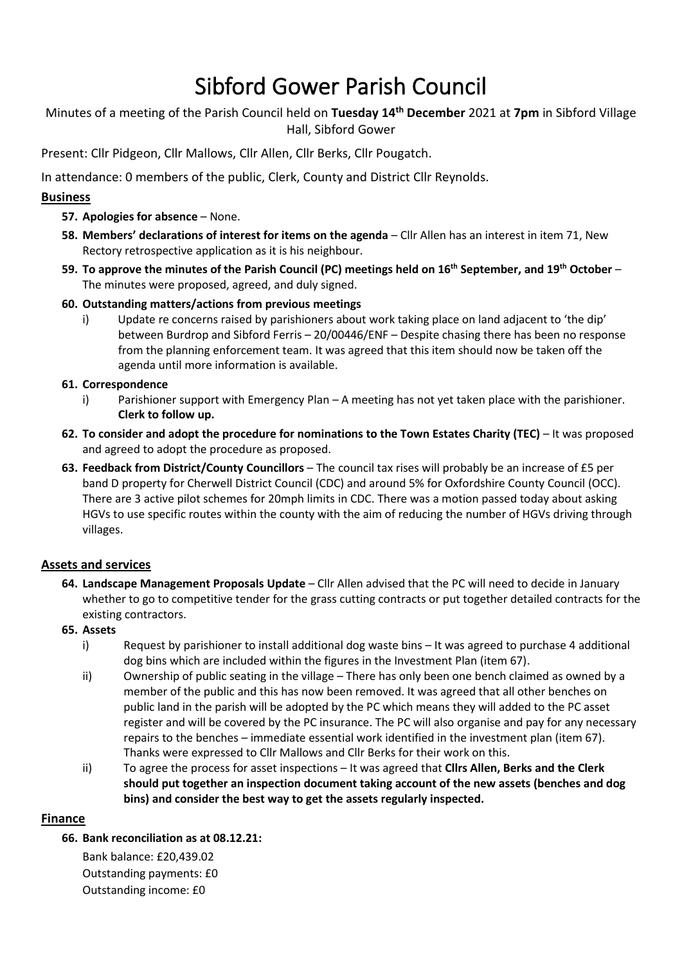# Sibford Gower Parish Council

Minutes of a meeting of the Parish Council held on **Tuesday 14 th December** 2021 at **7pm** in Sibford Village Hall, Sibford Gower

Present: Cllr Pidgeon, Cllr Mallows, Cllr Allen, Cllr Berks, Cllr Pougatch.

In attendance: 0 members of the public, Clerk, County and District Cllr Reynolds.

# **Business**

- **57. Apologies for absence** None.
- **58. Members' declarations of interest for items on the agenda** Cllr Allen has an interest in item 71, New Rectory retrospective application as it is his neighbour.
- **59. To approve the minutes of the Parish Council (PC) meetings held on 16th September, and 19th October** The minutes were proposed, agreed, and duly signed.
- **60. Outstanding matters/actions from previous meetings**
	- i)Update re concerns raised by parishioners about work taking place on land adjacent to 'the dip' between Burdrop and Sibford Ferris – 20/00446/ENF – Despite chasing there has been no response from the planning enforcement team. It was agreed that this item should now be taken off the agenda until more information is available.

## **61. Correspondence**

- i) Parishioner support with Emergency Plan A meeting has not yet taken place with the parishioner. **Clerk to follow up.**
- **62. To consider and adopt the procedure for nominations to the Town Estates Charity (TEC)** It was proposed and agreed to adopt the procedure as proposed.
- **63. Feedback from District/County Councillors** The council tax rises will probably be an increase of £5 per band D property for Cherwell District Council (CDC) and around 5% for Oxfordshire County Council (OCC). There are 3 active pilot schemes for 20mph limits in CDC. There was a motion passed today about asking HGVs to use specific routes within the county with the aim of reducing the number of HGVs driving through villages.

# **Assets and services**

**64. Landscape Management Proposals Update** – Cllr Allen advised that the PC will need to decide in January whether to go to competitive tender for the grass cutting contracts or put together detailed contracts for the existing contractors.

## **65. Assets**

- i) Request by parishioner to install additional dog waste bins It was agreed to purchase 4 additional dog bins which are included within the figures in the Investment Plan (item 67).
- ii) Ownership of public seating in the village There has only been one bench claimed as owned by a member of the public and this has now been removed. It was agreed that all other benches on public land in the parish will be adopted by the PC which means they will added to the PC asset register and will be covered by the PC insurance. The PC will also organise and pay for any necessary repairs to the benches – immediate essential work identified in the investment plan (item 67). Thanks were expressed to Cllr Mallows and Cllr Berks for their work on this.
- ii) To agree the process for asset inspections It was agreed that **Cllrs Allen, Berks and the Clerk should put together an inspection document taking account of the new assets (benches and dog bins) and consider the best way to get the assets regularly inspected.**

## **Finance**

**66. Bank reconciliation as at 08.12.21:**

Bank balance: £20,439.02 Outstanding payments: £0 Outstanding income: £0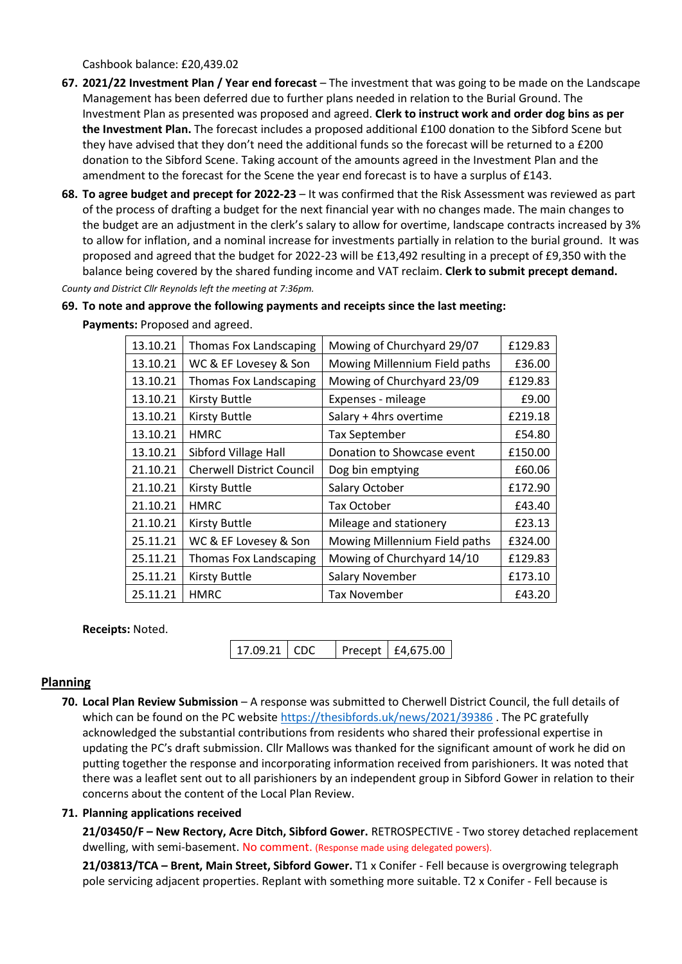Cashbook balance: £20,439.02

- **67. 2021/22 Investment Plan / Year end forecast** The investment that was going to be made on the Landscape Management has been deferred due to further plans needed in relation to the Burial Ground. The Investment Plan as presented was proposed and agreed. **Clerk to instruct work and order dog bins as per the Investment Plan.** The forecast includes a proposed additional £100 donation to the Sibford Scene but they have advised that they don't need the additional funds so the forecast will be returned to a £200 donation to the Sibford Scene. Taking account of the amounts agreed in the Investment Plan and the amendment to the forecast for the Scene the year end forecast is to have a surplus of £143.
- **68. To agree budget and precept for 2022-23** It was confirmed that the Risk Assessment was reviewed as part of the process of drafting a budget for the next financial year with no changes made. The main changes to the budget are an adjustment in the clerk's salary to allow for overtime, landscape contracts increased by 3% to allow for inflation, and a nominal increase for investments partially in relation to the burial ground. It was proposed and agreed that the budget for 2022-23 will be £13,492 resulting in a precept of £9,350 with the balance being covered by the shared funding income and VAT reclaim. **Clerk to submit precept demand.**

*County and District Cllr Reynolds left the meeting at 7:36pm.*

#### **69. To note and approve the following payments and receipts since the last meeting:**

| 13.10.21 | <b>Thomas Fox Landscaping</b>    | Mowing of Churchyard 29/07    | £129.83 |
|----------|----------------------------------|-------------------------------|---------|
| 13.10.21 | WC & EF Lovesey & Son            | Mowing Millennium Field paths | £36.00  |
| 13.10.21 | <b>Thomas Fox Landscaping</b>    | Mowing of Churchyard 23/09    | £129.83 |
| 13.10.21 | <b>Kirsty Buttle</b>             | Expenses - mileage            | £9.00   |
| 13.10.21 | <b>Kirsty Buttle</b>             | Salary + 4hrs overtime        | £219.18 |
| 13.10.21 | <b>HMRC</b>                      | <b>Tax September</b>          | £54.80  |
| 13.10.21 | Sibford Village Hall             | Donation to Showcase event    | £150.00 |
| 21.10.21 | <b>Cherwell District Council</b> | Dog bin emptying              | £60.06  |
| 21.10.21 | <b>Kirsty Buttle</b>             | Salary October                | £172.90 |
| 21.10.21 | <b>HMRC</b>                      | Tax October                   | £43.40  |
| 21.10.21 | <b>Kirsty Buttle</b>             | Mileage and stationery        | £23.13  |
| 25.11.21 | WC & EF Lovesey & Son            | Mowing Millennium Field paths | £324.00 |
| 25.11.21 | <b>Thomas Fox Landscaping</b>    | Mowing of Churchyard 14/10    | £129.83 |
| 25.11.21 | <b>Kirsty Buttle</b>             | <b>Salary November</b>        | £173.10 |
| 25.11.21 | <b>HMRC</b>                      | Tax November                  | £43.20  |

**Payments:** Proposed and agreed.

**Receipts:** Noted.

17.09.21 CDC Precept | £4,675.00

#### **Planning**

**70. Local Plan Review Submission** – A response was submitted to Cherwell District Council, the full details of which can be found on the PC website<https://thesibfords.uk/news/2021/39386> . The PC gratefully acknowledged the substantial contributions from residents who shared their professional expertise in updating the PC's draft submission. Cllr Mallows was thanked for the significant amount of work he did on putting together the response and incorporating information received from parishioners. It was noted that there was a leaflet sent out to all parishioners by an independent group in Sibford Gower in relation to their concerns about the content of the Local Plan Review.

#### **71. Planning applications received**

**21/03450/F – New Rectory, Acre Ditch, Sibford Gower.** RETROSPECTIVE - Two storey detached replacement dwelling, with semi-basement. No comment. (Response made using delegated powers).

**21/03813/TCA – Brent, Main Street, Sibford Gower.** T1 x Conifer - Fell because is overgrowing telegraph pole servicing adjacent properties. Replant with something more suitable. T2 x Conifer - Fell because is